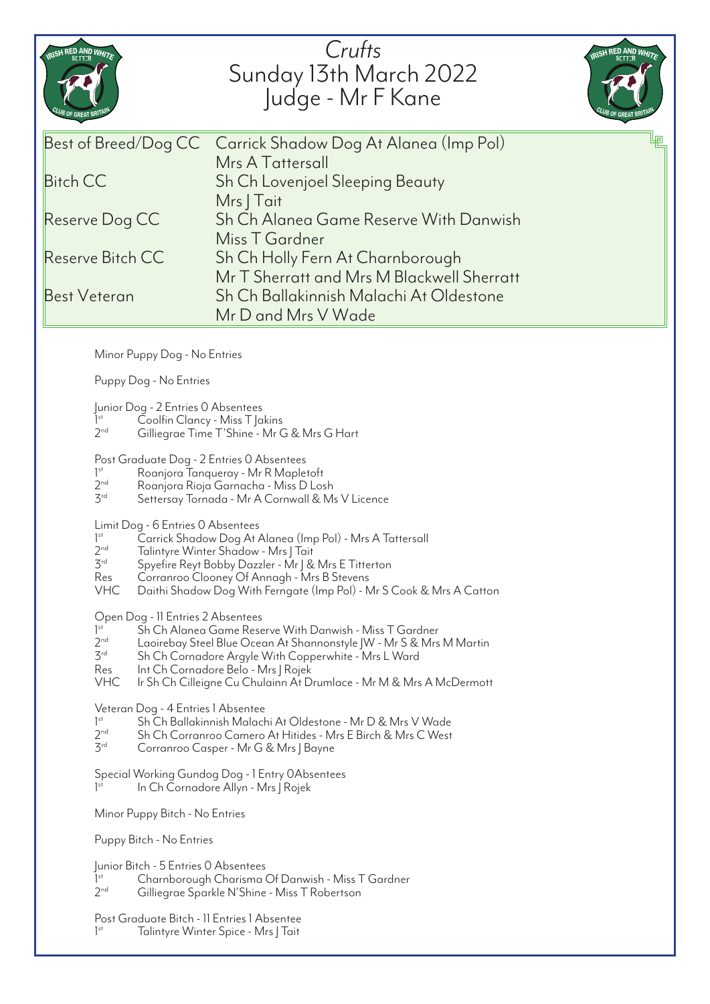| Crufts<br>RISH RED AND WHITE<br>RISH RED AND WHITE<br>Sunday 13th March 2022<br>Judge - Mr F Kane<br>' OF GREAT BR'<br>Best of Breed/Dog CC<br>Carrick Shadow Dog At Alanea (Imp Pol)<br>Mrs A Tattersall<br><b>Bitch CC</b><br>Sh Ch Lovenjoel Sleeping Beauty<br>Mrs   Tait<br>Sh Ch Alanea Game Reserve With Danwish<br>Reserve Dog CC<br>Miss T Gardner<br>Reserve Bitch CC<br>Sh Ch Holly Fern At Charnborough<br>Mr T Sherratt and Mrs M Blackwell Sherratt<br>Sh Ch Ballakinnish Malachi At Oldestone<br>Best Veteran<br>Mr D and Mrs V Wade<br>Minor Puppy Dog - No Entries<br>Puppy Dog - No Entries<br>Junior Dog - 2 Entries 0 Absentees<br>1 <sup>st</sup><br>Coolfin Clancy - Miss T Jakins<br>2 <sub>nd</sub><br>Gilliegrae Time T'Shine - Mr G & Mrs G Hart<br>Post Graduate Dog - 2 Entries 0 Absentees<br>$]$ <sup>st</sup><br>Roanjora Tanqueray - Mr R Mapletoft<br>2 <sub>nd</sub><br>Roanjora Rioja Garnacha - Miss D Losh<br>3 <sup>rd</sup><br>Settersay Tornada - Mr A Cornwall & Ms V Licence<br>Limit Dog - 6 Entries 0 Absentees<br>1 <sup>st</sup><br>Carrick Shadow Dog At Alanea (Imp Pol) - Mrs A Tattersall<br>2 <sub>nd</sub><br>Talintyre Winter Shadow - Mrs   Tait<br>3 <sup>rd</sup><br>Spyefire Reyt Bobby Dazzler - Mr   & Mrs E Titterton<br>Res<br>Corranroo Clooney Of Annagh - Mrs B Stevens<br><b>VHC</b><br>Daithi Shadow Dog With Ferngate (Imp Pol) - Mr S Cook & Mrs A Catton<br>Open Dog - 11 Entries 2 Absentees<br>Sh Ch Alanea Game Reserve With Danwish - Miss T Gardner<br>1 <sup>st</sup><br>$2^{nd}$<br>Laoirebay Steel Blue Ocean At Shannonstyle JW - Mr S & Mrs M Martin<br>$3^{rd}$<br>Sh Ch Cornadore Argyle With Copperwhite - Mrs L Ward<br>Res<br>Int Ch Cornadore Belo - Mrs J Rojek<br><b>VHC</b><br>Ir Sh Ch Cilleigne Cu Chulainn At Drumlace - Mr M & Mrs A McDermott<br>Veteran Dog - 4 Entries 1 Absentee<br>Sh Ch Ballakinnish Malachi At Oldestone - Mr D & Mrs V Wade<br>1 <sup>st</sup><br>2 <sub>nd</sub><br>Sh Ch Corranroo Camero At Hitides - Mrs E Birch & Mrs C West<br>3 <sup>rd</sup><br>Corranroo Casper - Mr G & Mrs J Bayne<br>Special Working Gundog Dog - 1 Entry OAbsentees<br>$]$ <sup>st</sup><br>In Ch Cornadore Allyn - Mrs J Rojek<br>Minor Puppy Bitch - No Entries<br>Puppy Bitch - No Entries<br>Junior Bitch - 5 Entries 0 Absentees<br>$]$ <sup>st</sup><br>Charnborough Charisma Of Danwish - Miss T Gardner<br>2 <sub>nd</sub><br>Gilliegrae Sparkle N'Shine - Miss T Robertson<br>Post Graduate Bitch - 11 Entries 1 Absentee<br>1 <sup>st</sup><br>Talintyre Winter Spice - Mrs J Tait |  |  |
|-----------------------------------------------------------------------------------------------------------------------------------------------------------------------------------------------------------------------------------------------------------------------------------------------------------------------------------------------------------------------------------------------------------------------------------------------------------------------------------------------------------------------------------------------------------------------------------------------------------------------------------------------------------------------------------------------------------------------------------------------------------------------------------------------------------------------------------------------------------------------------------------------------------------------------------------------------------------------------------------------------------------------------------------------------------------------------------------------------------------------------------------------------------------------------------------------------------------------------------------------------------------------------------------------------------------------------------------------------------------------------------------------------------------------------------------------------------------------------------------------------------------------------------------------------------------------------------------------------------------------------------------------------------------------------------------------------------------------------------------------------------------------------------------------------------------------------------------------------------------------------------------------------------------------------------------------------------------------------------------------------------------------------------------------------------------------------------------------------------------------------------------------------------------------------------------------------------------------------------------------------------------------------------------------------------------------------------------------------------------------------------------------------------------------------------------------------------------------------------------------------------------------------------------------------------------------------------------------|--|--|
|                                                                                                                                                                                                                                                                                                                                                                                                                                                                                                                                                                                                                                                                                                                                                                                                                                                                                                                                                                                                                                                                                                                                                                                                                                                                                                                                                                                                                                                                                                                                                                                                                                                                                                                                                                                                                                                                                                                                                                                                                                                                                                                                                                                                                                                                                                                                                                                                                                                                                                                                                                                               |  |  |
|                                                                                                                                                                                                                                                                                                                                                                                                                                                                                                                                                                                                                                                                                                                                                                                                                                                                                                                                                                                                                                                                                                                                                                                                                                                                                                                                                                                                                                                                                                                                                                                                                                                                                                                                                                                                                                                                                                                                                                                                                                                                                                                                                                                                                                                                                                                                                                                                                                                                                                                                                                                               |  |  |
|                                                                                                                                                                                                                                                                                                                                                                                                                                                                                                                                                                                                                                                                                                                                                                                                                                                                                                                                                                                                                                                                                                                                                                                                                                                                                                                                                                                                                                                                                                                                                                                                                                                                                                                                                                                                                                                                                                                                                                                                                                                                                                                                                                                                                                                                                                                                                                                                                                                                                                                                                                                               |  |  |
|                                                                                                                                                                                                                                                                                                                                                                                                                                                                                                                                                                                                                                                                                                                                                                                                                                                                                                                                                                                                                                                                                                                                                                                                                                                                                                                                                                                                                                                                                                                                                                                                                                                                                                                                                                                                                                                                                                                                                                                                                                                                                                                                                                                                                                                                                                                                                                                                                                                                                                                                                                                               |  |  |
|                                                                                                                                                                                                                                                                                                                                                                                                                                                                                                                                                                                                                                                                                                                                                                                                                                                                                                                                                                                                                                                                                                                                                                                                                                                                                                                                                                                                                                                                                                                                                                                                                                                                                                                                                                                                                                                                                                                                                                                                                                                                                                                                                                                                                                                                                                                                                                                                                                                                                                                                                                                               |  |  |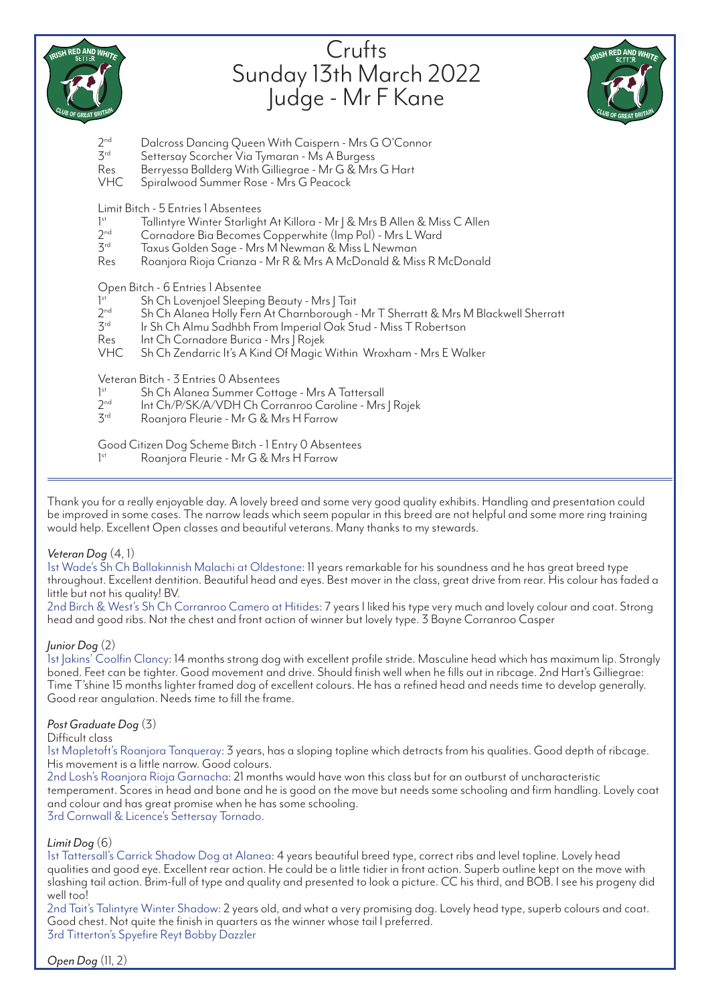

# **Crufts** Sunday 13th March 2022 Judge - Mr F Kane



- 2<sup>nd</sup> Dalcross Dancing Queen With Caispern Mrs G O'Connor<br><sup>3rd</sup> Settersoy Scorcher Via Tymaran Mr. A Burgess
- Settersay Scorcher Via Tymaran Ms A Burgess
- Res Berryessa Ballderg With Gilliegrae Mr G & Mrs G Hart
- VHC Spiralwood Summer Rose Mrs G Peacock

Limit Bitch - 5 Entries 1 Absentees

- $1^{\text{st}}$ <br> $2^{\text{nd}}$ Tallintyre Winter Starlight At Killora - Mr | & Mrs B Allen & Miss C Allen
- $2<sup>nd</sup>$  Cornadore Bia Becomes Copperwhite (Imp Pol) Mrs L Ward<br> $3<sup>rd</sup>$  Taxus Golden Sage Mrs M Newman & Miss L Newman
- $3<sup>rd</sup>$  Taxus Golden Sage Mrs M Newman & Miss L Newman<br>Res Roaniora Rioja Crianza Mr R & Mrs A McDonald & Mis
- Roanjora Rioja Crianza Mr R & Mrs A McDonald & Miss R McDonald

Open Bitch - 6 Entries 1 Absentee

- $1^{\text{st}}$ <br> $2^{\text{nd}}$ Sh Ch Lovenjoel Sleeping Beauty - Mrs | Tait
- 2<sup>nd</sup> Sh Ch Alanea Holly Fern At Charnborough Mr T Sherratt & Mrs M Blackwell Sherratt<br>3<sup>rd</sup> Ir Sh Ch Almu Sadhbh From Imperial Oak Stud Miss T Robertson
- Ir Sh Ch Almu Sadhbh From Imperial Oak Stud Miss T Robertson
- Res Int Ch Cornadore Burica Mrs J Rojek<br>VHC Sh Ch Zendarric It's A Kind Of Magic

Sh Ch Zendarric It's A Kind Of Magic Within Wroxham - Mrs E Walker

Veteran Bitch - 3 Entries 0 Absentees

- $1^{\text{st}}$ <br> $2^{\text{nd}}$ Sh Ch Alanea Summer Cottage - Mrs A Tattersall
- 2<sup>nd</sup> Int Ch/P/SK/A/VDH Ch Corranroo Caroline Mrs J Rojek<br>3<sup>rd</sup> Roaniora Fleurie Mr G & Mrs H Farrow
- Roanjora Fleurie Mr G & Mrs H Farrow

Good Citizen Dog Scheme Bitch - 1 Entry 0 Absentees 1st Roanjora Fleurie - Mr G & Mrs H Farrow

Thank you for a really enjoyable day. A lovely breed and some very good quality exhibits. Handling and presentation could be improved in some cases. The narrow leads which seem popular in this breed are not helpful and some more ring training would help. Excellent Open classes and beautiful veterans. Many thanks to my stewards.

## *Veteran Dog* (4, 1)

1st Wade's Sh Ch Ballakinnish Malachi at Oldestone: 11 years remarkable for his soundness and he has great breed type throughout. Excellent dentition. Beautiful head and eyes. Best mover in the class, great drive from rear. His colour has faded a little but not his quality! BV.

2nd Birch & West's Sh Ch Corranroo Camero at Hitides: 7 years I liked his type very much and lovely colour and coat. Strong head and good ribs. Not the chest and front action of winner but lovely type. 3 Bayne Corranroo Casper

## *Junior Dog* (2)

1st Jakins' Coolfin Clancy: 14 months strong dog with excellent profile stride. Masculine head which has maximum lip. Strongly boned. Feet can be tighter. Good movement and drive. Should finish well when he fills out in ribcage. 2nd Hart's Gilliegrae: Time T'shine 15 months lighter framed dog of excellent colours. He has a refined head and needs time to develop generally. Good rear angulation. Needs time to fill the frame.

## *Post Graduate Dog* (3)

Difficult class

1st Mapletoft's Roanjora Tanqueray: 3 years, has a sloping topline which detracts from his qualities. Good depth of ribcage. His movement is a little narrow. Good colours.

2nd Losh's Roanjora Rioja Garnacha: 21 months would have won this class but for an outburst of uncharacteristic temperament. Scores in head and bone and he is good on the move but needs some schooling and firm handling. Lovely coat and colour and has great promise when he has some schooling.

3rd Cornwall & Licence's Settersay Tornado.

## *Limit Dog* (6)

1st Tattersall's Carrick Shadow Dog at Alanea: 4 years beautiful breed type, correct ribs and level topline. Lovely head qualities and good eye. Excellent rear action. He could be a little tidier in front action. Superb outline kept on the move with slashing tail action. Brim-full of type and quality and presented to look a picture. CC his third, and BOB. I see his progeny did well too!

2nd Tait's Talintyre Winter Shadow: 2 years old, and what a very promising dog. Lovely head type, superb colours and coat. Good chest. Not quite the finish in quarters as the winner whose tail I preferred. 3rd Titterton's Spyefire Reyt Bobby Dazzler

*Open Dog* (11, 2)